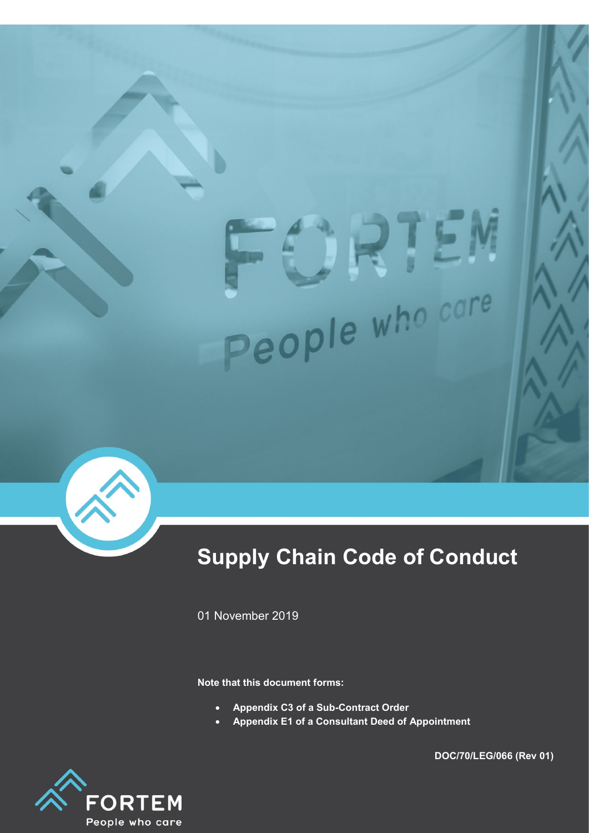# People who care



# **Supply Chain Code of Conduct**

01 November 2019

**Note that this document forms:**

- **Appendix C3 of a Sub-Contract Order**
- **Appendix E1 of a Consultant Deed of Appointment**



**DOC/70/LEG/066 (Rev 01)**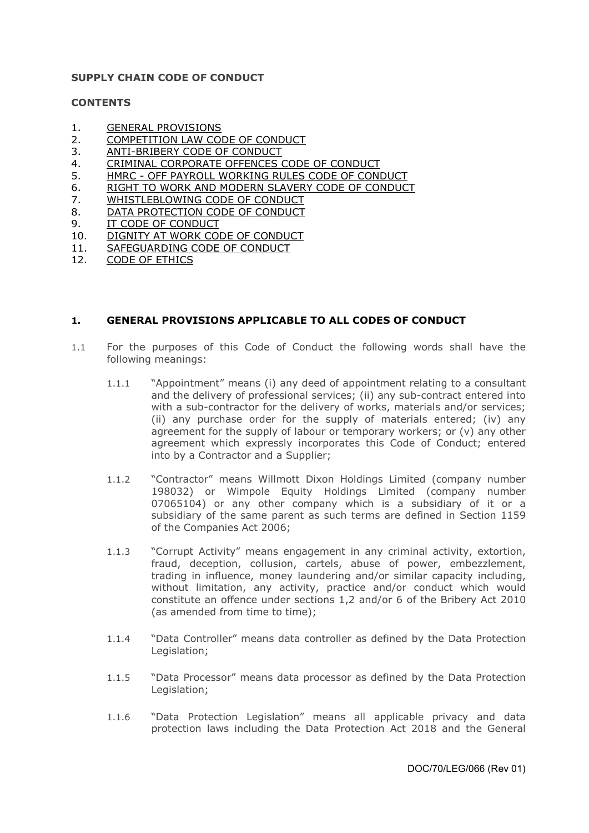### **SUPPLY CHAIN CODE OF CONDUCT**

### **CONTENTS**

- 1. GENERAL PROVISIONS
- 2. [COMPETITION LAW CODE OF CONDUCT](#page-3-0)
- 3. [ANTI-BRIBERY CODE OF CONDUCT](#page-4-0)
- 4. [CRIMINAL CORPORATE OFFENCES CODE OF CONDUCT](#page-5-0)
- 5. HMRC OFF PAYROLL WORKING RULES CODE OF CONDUCT
- 6. [RIGHT TO WORK AND MODERN SLAVERY CODE OF CONDUCT](#page-5-1)
- 7. [WHISTLEBLOWING CODE OF CONDUCT](#page-7-0)
- 8. [DATA PROTECTION CODE OF CONDUCT](#page-8-0)
- 9. [IT CODE OF CONDUCT](#page-11-0)
- 10. [DIGNITY AT WORK CODE OF CONDUCT](#page-12-0)
- 11. [SAFEGUARDING CODE OF CONDUCT](#page-12-1)<br>12. CODE OF ETHICS
- [CODE OF ETHICS](#page-13-0)

# **1. GENERAL PROVISIONS APPLICABLE TO ALL CODES OF CONDUCT**

- 1.1 For the purposes of this Code of Conduct the following words shall have the following meanings:
	- 1.1.1 "Appointment" means (i) any deed of appointment relating to a consultant and the delivery of professional services; (ii) any sub-contract entered into with a sub-contractor for the delivery of works, materials and/or services; (ii) any purchase order for the supply of materials entered; (iv) any agreement for the supply of labour or temporary workers; or  $(v)$  any other agreement which expressly incorporates this Code of Conduct; entered into by a Contractor and a Supplier;
	- 1.1.2 "Contractor" means Willmott Dixon Holdings Limited (company number 198032) or Wimpole Equity Holdings Limited (company number 07065104) or any other company which is a subsidiary of it or a subsidiary of the same parent as such terms are defined in Section 1159 of the Companies Act 2006;
	- 1.1.3 "Corrupt Activity" means engagement in any criminal activity, extortion, fraud, deception, collusion, cartels, abuse of power, embezzlement, trading in influence, money laundering and/or similar capacity including, without limitation, any activity, practice and/or conduct which would constitute an offence under sections 1,2 and/or 6 of the Bribery Act 2010 (as amended from time to time);
	- 1.1.4 "Data Controller" means data controller as defined by the Data Protection Legislation;
	- 1.1.5 "Data Processor" means data processor as defined by the Data Protection Legislation;
	- 1.1.6 "Data Protection Legislation" means all applicable privacy and data protection laws including the Data Protection Act 2018 and the General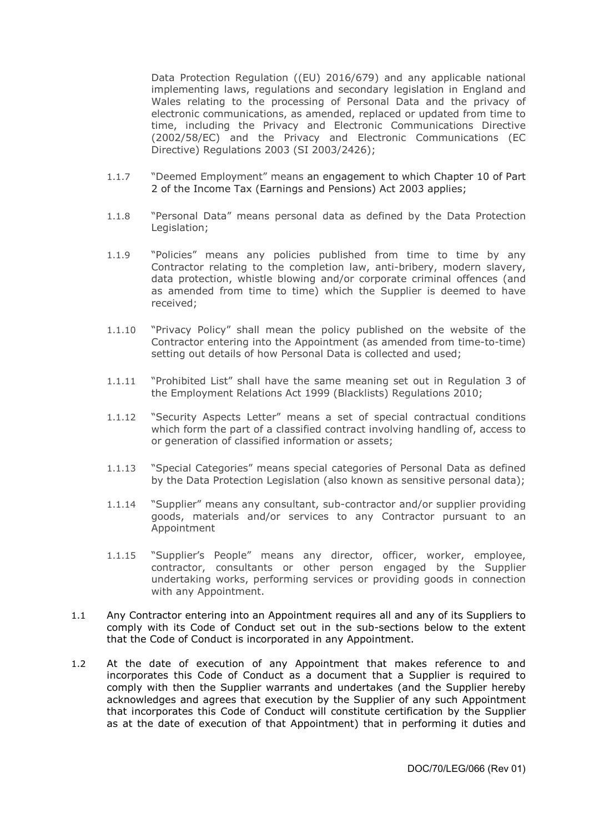Data Protection Regulation ((EU) 2016/679) and any applicable national implementing laws, regulations and secondary legislation in England and Wales relating to the processing of Personal Data and the privacy of electronic communications, as amended, replaced or updated from time to time, including the Privacy and Electronic Communications Directive (2002/58/EC) and the Privacy and Electronic Communications (EC Directive) Regulations 2003 (SI 2003/2426);

- 1.1.7 "Deemed Employment" means an engagement to which Chapter 10 of Part 2 of the Income Tax (Earnings and Pensions) Act 2003 applies;
- 1.1.8 "Personal Data" means personal data as defined by the Data Protection Legislation;
- 1.1.9 "Policies" means any policies published from time to time by any Contractor relating to the completion law, anti-bribery, modern slavery, data protection, whistle blowing and/or corporate criminal offences (and as amended from time to time) which the Supplier is deemed to have received;
- 1.1.10 "Privacy Policy" shall mean the policy published on the website of the Contractor entering into the Appointment (as amended from time-to-time) setting out details of how Personal Data is collected and used;
- 1.1.11 "Prohibited List" shall have the same meaning set out in Regulation 3 of the Employment Relations Act 1999 (Blacklists) Regulations 2010;
- 1.1.12 "Security Aspects Letter" means a set of special contractual conditions which form the part of a classified contract involving handling of, access to or generation of classified information or assets;
- 1.1.13 "Special Categories" means special categories of Personal Data as defined by the Data Protection Legislation (also known as sensitive personal data);
- 1.1.14 "Supplier" means any consultant, sub-contractor and/or supplier providing goods, materials and/or services to any Contractor pursuant to an Appointment
- 1.1.15 "Supplier's People" means any director, officer, worker, employee, contractor, consultants or other person engaged by the Supplier undertaking works, performing services or providing goods in connection with any Appointment.
- 1.1 Any Contractor entering into an Appointment requires all and any of its Suppliers to comply with its Code of Conduct set out in the sub-sections below to the extent that the Code of Conduct is incorporated in any Appointment.
- 1.2 At the date of execution of any Appointment that makes reference to and incorporates this Code of Conduct as a document that a Supplier is required to comply with then the Supplier warrants and undertakes (and the Supplier hereby acknowledges and agrees that execution by the Supplier of any such Appointment that incorporates this Code of Conduct will constitute certification by the Supplier as at the date of execution of that Appointment) that in performing it duties and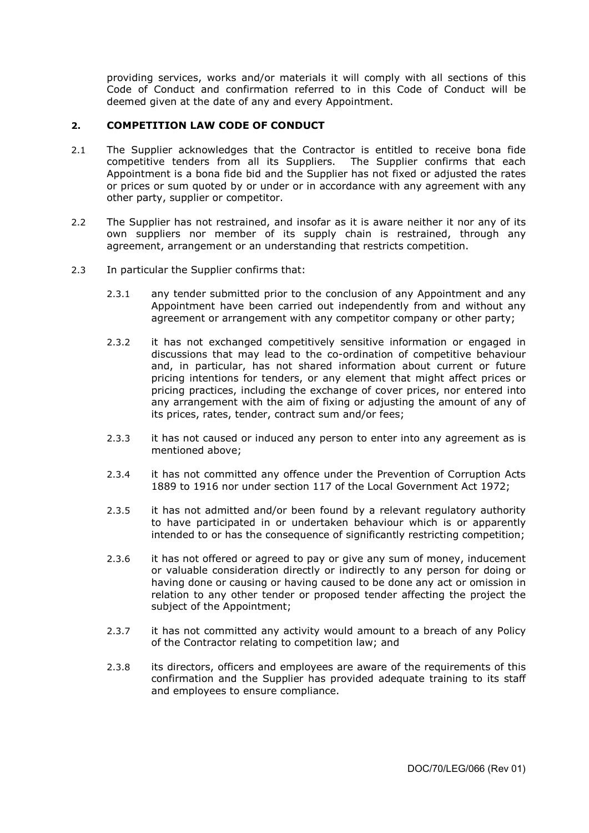providing services, works and/or materials it will comply with all sections of this Code of Conduct and confirmation referred to in this Code of Conduct will be deemed given at the date of any and every Appointment.

### <span id="page-3-0"></span>**2. COMPETITION LAW CODE OF CONDUCT**

- 2.1 The Supplier acknowledges that the Contractor is entitled to receive bona fide competitive tenders from all its Suppliers. The Supplier confirms that each Appointment is a bona fide bid and the Supplier has not fixed or adjusted the rates or prices or sum quoted by or under or in accordance with any agreement with any other party, supplier or competitor.
- 2.2 The Supplier has not restrained, and insofar as it is aware neither it nor any of its own suppliers nor member of its supply chain is restrained, through any agreement, arrangement or an understanding that restricts competition.
- 2.3 In particular the Supplier confirms that:
	- 2.3.1 any tender submitted prior to the conclusion of any Appointment and any Appointment have been carried out independently from and without any agreement or arrangement with any competitor company or other party;
	- 2.3.2 it has not exchanged competitively sensitive information or engaged in discussions that may lead to the co-ordination of competitive behaviour and, in particular, has not shared information about current or future pricing intentions for tenders, or any element that might affect prices or pricing practices, including the exchange of cover prices, nor entered into any arrangement with the aim of fixing or adjusting the amount of any of its prices, rates, tender, contract sum and/or fees;
	- 2.3.3 it has not caused or induced any person to enter into any agreement as is mentioned above;
	- 2.3.4 it has not committed any offence under the Prevention of Corruption Acts 1889 to 1916 nor under section 117 of the Local Government Act 1972;
	- 2.3.5 it has not admitted and/or been found by a relevant regulatory authority to have participated in or undertaken behaviour which is or apparently intended to or has the consequence of significantly restricting competition;
	- 2.3.6 it has not offered or agreed to pay or give any sum of money, inducement or valuable consideration directly or indirectly to any person for doing or having done or causing or having caused to be done any act or omission in relation to any other tender or proposed tender affecting the project the subject of the Appointment;
	- 2.3.7 it has not committed any activity would amount to a breach of any Policy of the Contractor relating to competition law; and
	- 2.3.8 its directors, officers and employees are aware of the requirements of this confirmation and the Supplier has provided adequate training to its staff and employees to ensure compliance.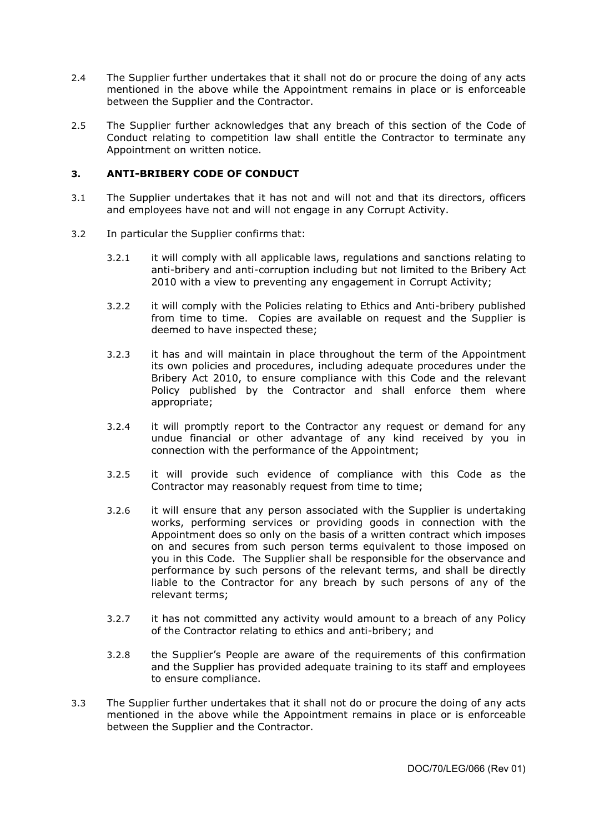- 2.4 The Supplier further undertakes that it shall not do or procure the doing of any acts mentioned in the above while the Appointment remains in place or is enforceable between the Supplier and the Contractor.
- 2.5 The Supplier further acknowledges that any breach of this section of the Code of Conduct relating to competition law shall entitle the Contractor to terminate any Appointment on written notice.

### <span id="page-4-0"></span>**3. ANTI-BRIBERY CODE OF CONDUCT**

- 3.1 The Supplier undertakes that it has not and will not and that its directors, officers and employees have not and will not engage in any Corrupt Activity.
- 3.2 In particular the Supplier confirms that:
	- 3.2.1 it will comply with all applicable laws, regulations and sanctions relating to anti-bribery and anti-corruption including but not limited to the Bribery Act 2010 with a view to preventing any engagement in Corrupt Activity;
	- 3.2.2 it will comply with the Policies relating to Ethics and Anti-bribery published from time to time. Copies are available on request and the Supplier is deemed to have inspected these;
	- 3.2.3 it has and will maintain in place throughout the term of the Appointment its own policies and procedures, including adequate procedures under the Bribery Act 2010, to ensure compliance with this Code and the relevant Policy published by the Contractor and shall enforce them where appropriate;
	- 3.2.4 it will promptly report to the Contractor any request or demand for any undue financial or other advantage of any kind received by you in connection with the performance of the Appointment;
	- 3.2.5 it will provide such evidence of compliance with this Code as the Contractor may reasonably request from time to time;
	- 3.2.6 it will ensure that any person associated with the Supplier is undertaking works, performing services or providing goods in connection with the Appointment does so only on the basis of a written contract which imposes on and secures from such person terms equivalent to those imposed on you in this Code. The Supplier shall be responsible for the observance and performance by such persons of the relevant terms, and shall be directly liable to the Contractor for any breach by such persons of any of the relevant terms;
	- 3.2.7 it has not committed any activity would amount to a breach of any Policy of the Contractor relating to ethics and anti-bribery; and
	- 3.2.8 the Supplier's People are aware of the requirements of this confirmation and the Supplier has provided adequate training to its staff and employees to ensure compliance.
- 3.3 The Supplier further undertakes that it shall not do or procure the doing of any acts mentioned in the above while the Appointment remains in place or is enforceable between the Supplier and the Contractor.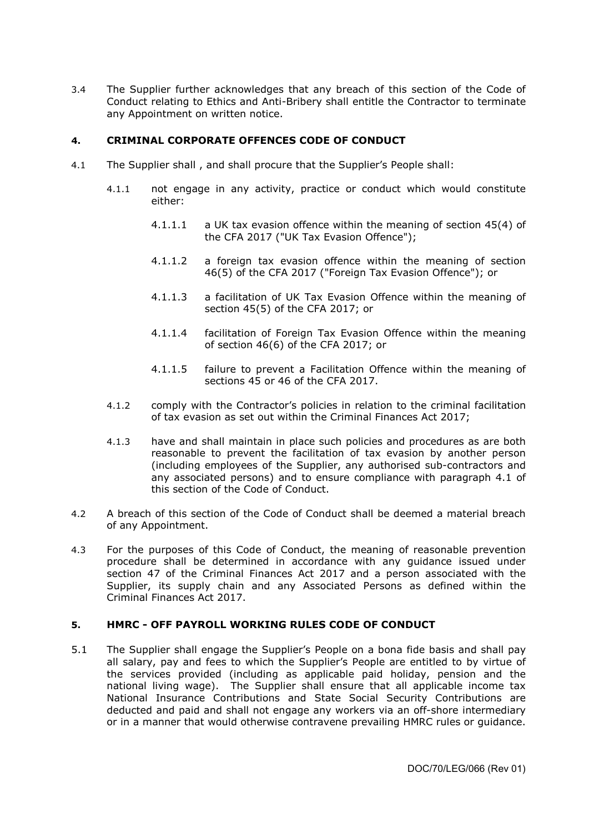3.4 The Supplier further acknowledges that any breach of this section of the Code of Conduct relating to Ethics and Anti-Bribery shall entitle the Contractor to terminate any Appointment on written notice.

# <span id="page-5-0"></span>**4. CRIMINAL CORPORATE OFFENCES CODE OF CONDUCT**

- 4.1 The Supplier shall , and shall procure that the Supplier's People shall:
	- 4.1.1 not engage in any activity, practice or conduct which would constitute either:
		- 4.1.1.1 a UK tax evasion offence within the meaning of section 45(4) of the CFA 2017 ("UK Tax Evasion Offence");
		- 4.1.1.2 a foreign tax evasion offence within the meaning of section 46(5) of the CFA 2017 ("Foreign Tax Evasion Offence"); or
		- 4.1.1.3 a facilitation of UK Tax Evasion Offence within the meaning of section 45(5) of the CFA 2017; or
		- 4.1.1.4 facilitation of Foreign Tax Evasion Offence within the meaning of section 46(6) of the CFA 2017; or
		- 4.1.1.5 failure to prevent a Facilitation Offence within the meaning of sections 45 or 46 of the CFA 2017.
	- 4.1.2 comply with the Contractor's policies in relation to the criminal facilitation of tax evasion as set out within the Criminal Finances Act 2017;
	- 4.1.3 have and shall maintain in place such policies and procedures as are both reasonable to prevent the facilitation of tax evasion by another person (including employees of the Supplier, any authorised sub-contractors and any associated persons) and to ensure compliance with paragraph 4.1 of this section of the Code of Conduct.
- 4.2 A breach of this section of the Code of Conduct shall be deemed a material breach of any Appointment.
- 4.3 For the purposes of this Code of Conduct, the meaning of reasonable prevention procedure shall be determined in accordance with any guidance issued under section 47 of the Criminal Finances Act 2017 and a person associated with the Supplier, its supply chain and any Associated Persons as defined within the Criminal Finances Act 2017.

# <span id="page-5-1"></span>**5. HMRC - OFF PAYROLL WORKING RULES CODE OF CONDUCT**

5.1 The Supplier shall engage the Supplier's People on a bona fide basis and shall pay all salary, pay and fees to which the Supplier's People are entitled to by virtue of the services provided (including as applicable paid holiday, pension and the national living wage). The Supplier shall ensure that all applicable income tax National Insurance Contributions and State Social Security Contributions are deducted and paid and shall not engage any workers via an off-shore intermediary or in a manner that would otherwise contravene prevailing HMRC rules or guidance.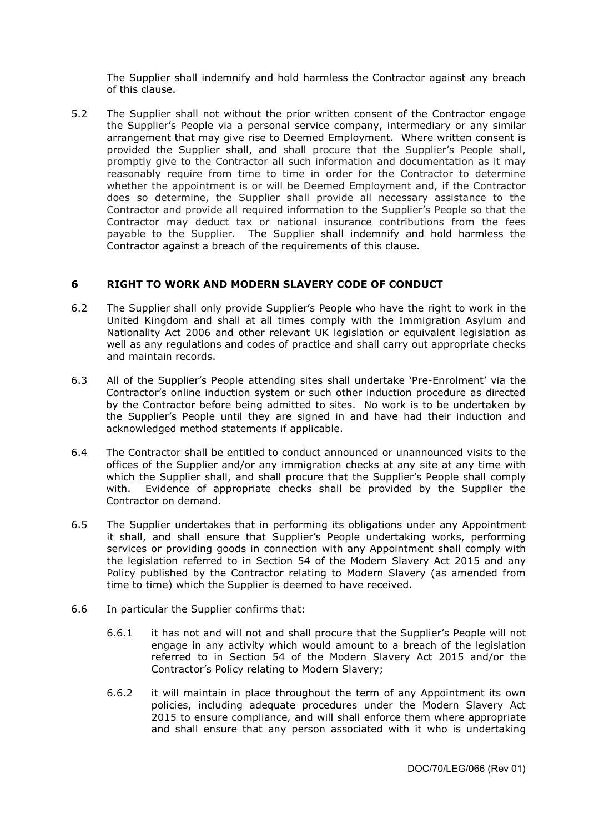The Supplier shall indemnify and hold harmless the Contractor against any breach of this clause.

5.2 The Supplier shall not without the prior written consent of the Contractor engage the Supplier's People via a personal service company, intermediary or any similar arrangement that may give rise to Deemed Employment. Where written consent is provided the Supplier shall, and shall procure that the Supplier's People shall, promptly give to the Contractor all such information and documentation as it may reasonably require from time to time in order for the Contractor to determine whether the appointment is or will be Deemed Employment and, if the Contractor does so determine, the Supplier shall provide all necessary assistance to the Contractor and provide all required information to the Supplier's People so that the Contractor may deduct tax or national insurance contributions from the fees payable to the Supplier. The Supplier shall indemnify and hold harmless the Contractor against a breach of the requirements of this clause.

# **6 RIGHT TO WORK AND MODERN SLAVERY CODE OF CONDUCT**

- 6.2 The Supplier shall only provide Supplier's People who have the right to work in the United Kingdom and shall at all times comply with the Immigration Asylum and Nationality Act 2006 and other relevant UK legislation or equivalent legislation as well as any regulations and codes of practice and shall carry out appropriate checks and maintain records.
- 6.3 All of the Supplier's People attending sites shall undertake 'Pre-Enrolment' via the Contractor's online induction system or such other induction procedure as directed by the Contractor before being admitted to sites. No work is to be undertaken by the Supplier's People until they are signed in and have had their induction and acknowledged method statements if applicable.
- 6.4 The Contractor shall be entitled to conduct announced or unannounced visits to the offices of the Supplier and/or any immigration checks at any site at any time with which the Supplier shall, and shall procure that the Supplier's People shall comply with. Evidence of appropriate checks shall be provided by the Supplier the Contractor on demand.
- 6.5 The Supplier undertakes that in performing its obligations under any Appointment it shall, and shall ensure that Supplier's People undertaking works, performing services or providing goods in connection with any Appointment shall comply with the legislation referred to in Section 54 of the Modern Slavery Act 2015 and any Policy published by the Contractor relating to Modern Slavery (as amended from time to time) which the Supplier is deemed to have received.
- 6.6 In particular the Supplier confirms that:
	- 6.6.1 it has not and will not and shall procure that the Supplier's People will not engage in any activity which would amount to a breach of the legislation referred to in Section 54 of the Modern Slavery Act 2015 and/or the Contractor's Policy relating to Modern Slavery;
	- 6.6.2 it will maintain in place throughout the term of any Appointment its own policies, including adequate procedures under the Modern Slavery Act 2015 to ensure compliance, and will shall enforce them where appropriate and shall ensure that any person associated with it who is undertaking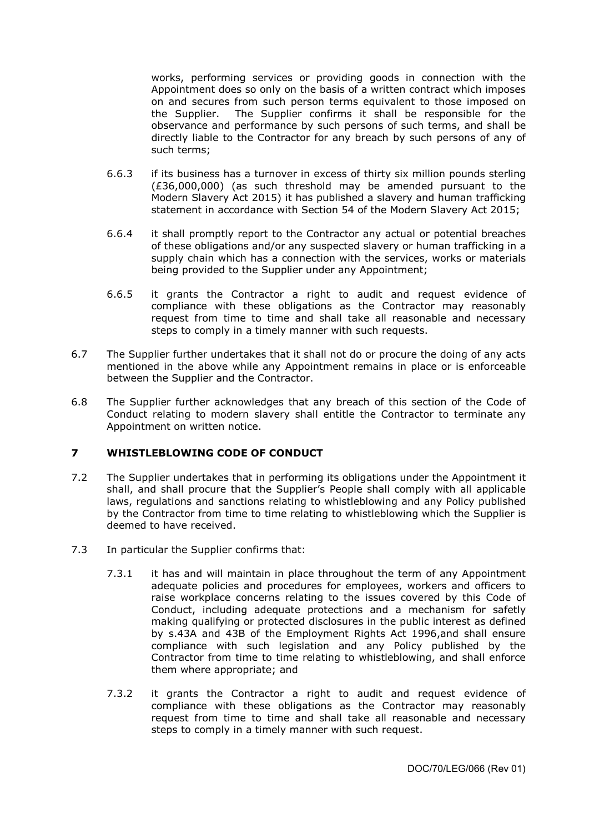works, performing services or providing goods in connection with the Appointment does so only on the basis of a written contract which imposes on and secures from such person terms equivalent to those imposed on the Supplier. The Supplier confirms it shall be responsible for the observance and performance by such persons of such terms, and shall be directly liable to the Contractor for any breach by such persons of any of such terms;

- 6.6.3 if its business has a turnover in excess of thirty six million pounds sterling (£36,000,000) (as such threshold may be amended pursuant to the Modern Slavery Act 2015) it has published a slavery and human trafficking statement in accordance with Section 54 of the Modern Slavery Act 2015;
- 6.6.4 it shall promptly report to the Contractor any actual or potential breaches of these obligations and/or any suspected slavery or human trafficking in a supply chain which has a connection with the services, works or materials being provided to the Supplier under any Appointment;
- 6.6.5 it grants the Contractor a right to audit and request evidence of compliance with these obligations as the Contractor may reasonably request from time to time and shall take all reasonable and necessary steps to comply in a timely manner with such requests.
- 6.7 The Supplier further undertakes that it shall not do or procure the doing of any acts mentioned in the above while any Appointment remains in place or is enforceable between the Supplier and the Contractor.
- 6.8 The Supplier further acknowledges that any breach of this section of the Code of Conduct relating to modern slavery shall entitle the Contractor to terminate any Appointment on written notice.

# <span id="page-7-0"></span>**7 WHISTLEBLOWING CODE OF CONDUCT**

- 7.2 The Supplier undertakes that in performing its obligations under the Appointment it shall, and shall procure that the Supplier's People shall comply with all applicable laws, regulations and sanctions relating to whistleblowing and any Policy published by the Contractor from time to time relating to whistleblowing which the Supplier is deemed to have received.
- 7.3 In particular the Supplier confirms that:
	- 7.3.1 it has and will maintain in place throughout the term of any Appointment adequate policies and procedures for employees, workers and officers to raise workplace concerns relating to the issues covered by this Code of Conduct, including adequate protections and a mechanism for safetly making qualifying or protected disclosures in the public interest as defined by s.43A and 43B of the Employment Rights Act 1996,and shall ensure compliance with such legislation and any Policy published by the Contractor from time to time relating to whistleblowing, and shall enforce them where appropriate; and
	- 7.3.2 it grants the Contractor a right to audit and request evidence of compliance with these obligations as the Contractor may reasonably request from time to time and shall take all reasonable and necessary steps to comply in a timely manner with such request.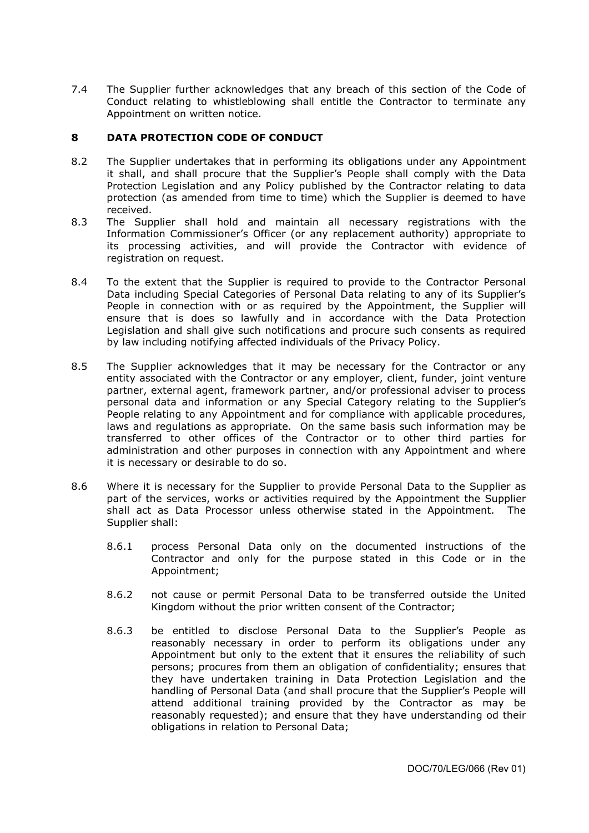7.4 The Supplier further acknowledges that any breach of this section of the Code of Conduct relating to whistleblowing shall entitle the Contractor to terminate any Appointment on written notice.

# <span id="page-8-0"></span>**8 DATA PROTECTION CODE OF CONDUCT**

- 8.2 The Supplier undertakes that in performing its obligations under any Appointment it shall, and shall procure that the Supplier's People shall comply with the Data Protection Legislation and any Policy published by the Contractor relating to data protection (as amended from time to time) which the Supplier is deemed to have received.
- 8.3 The Supplier shall hold and maintain all necessary registrations with the Information Commissioner's Officer (or any replacement authority) appropriate to its processing activities, and will provide the Contractor with evidence of registration on request.
- 8.4 To the extent that the Supplier is required to provide to the Contractor Personal Data including Special Categories of Personal Data relating to any of its Supplier's People in connection with or as required by the Appointment, the Supplier will ensure that is does so lawfully and in accordance with the Data Protection Legislation and shall give such notifications and procure such consents as required by law including notifying affected individuals of the Privacy Policy.
- 8.5 The Supplier acknowledges that it may be necessary for the Contractor or any entity associated with the Contractor or any employer, client, funder, joint venture partner, external agent, framework partner, and/or professional adviser to process personal data and information or any Special Category relating to the Supplier's People relating to any Appointment and for compliance with applicable procedures, laws and regulations as appropriate. On the same basis such information may be transferred to other offices of the Contractor or to other third parties for administration and other purposes in connection with any Appointment and where it is necessary or desirable to do so.
- 8.6 Where it is necessary for the Supplier to provide Personal Data to the Supplier as part of the services, works or activities required by the Appointment the Supplier shall act as Data Processor unless otherwise stated in the Appointment. The Supplier shall:
	- 8.6.1 process Personal Data only on the documented instructions of the Contractor and only for the purpose stated in this Code or in the Appointment;
	- 8.6.2 not cause or permit Personal Data to be transferred outside the United Kingdom without the prior written consent of the Contractor;
	- 8.6.3 be entitled to disclose Personal Data to the Supplier's People as reasonably necessary in order to perform its obligations under any Appointment but only to the extent that it ensures the reliability of such persons; procures from them an obligation of confidentiality; ensures that they have undertaken training in Data Protection Legislation and the handling of Personal Data (and shall procure that the Supplier's People will attend additional training provided by the Contractor as may be reasonably requested); and ensure that they have understanding od their obligations in relation to Personal Data;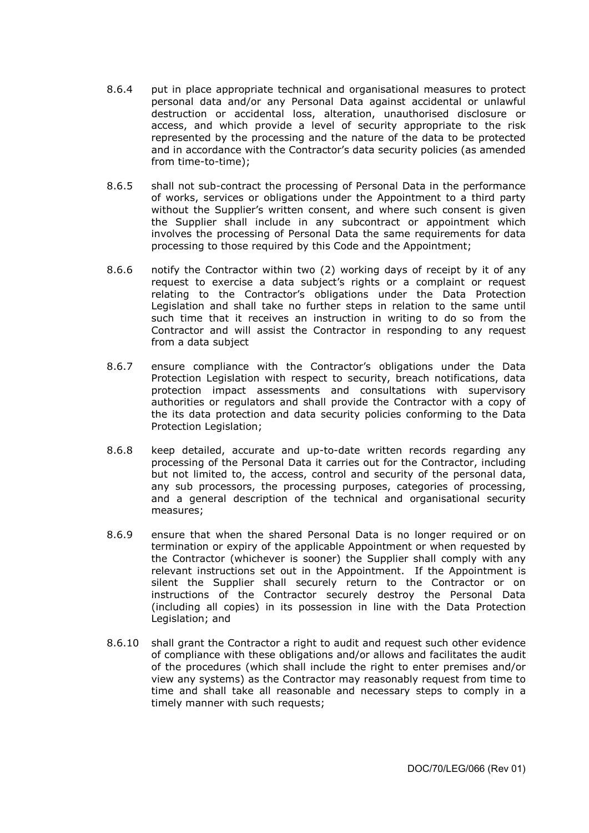- 8.6.4 put in place appropriate technical and organisational measures to protect personal data and/or any Personal Data against accidental or unlawful destruction or accidental loss, alteration, unauthorised disclosure or access, and which provide a level of security appropriate to the risk represented by the processing and the nature of the data to be protected and in accordance with the Contractor's data security policies (as amended from time-to-time);
- 8.6.5 shall not sub-contract the processing of Personal Data in the performance of works, services or obligations under the Appointment to a third party without the Supplier's written consent, and where such consent is given the Supplier shall include in any subcontract or appointment which involves the processing of Personal Data the same requirements for data processing to those required by this Code and the Appointment;
- 8.6.6 notify the Contractor within two (2) working days of receipt by it of any request to exercise a data subject's rights or a complaint or request relating to the Contractor's obligations under the Data Protection Legislation and shall take no further steps in relation to the same until such time that it receives an instruction in writing to do so from the Contractor and will assist the Contractor in responding to any request from a data subject
- 8.6.7 ensure compliance with the Contractor's obligations under the Data Protection Legislation with respect to security, breach notifications, data protection impact assessments and consultations with supervisory authorities or regulators and shall provide the Contractor with a copy of the its data protection and data security policies conforming to the Data Protection Legislation;
- 8.6.8 keep detailed, accurate and up-to-date written records regarding any processing of the Personal Data it carries out for the Contractor, including but not limited to, the access, control and security of the personal data, any sub processors, the processing purposes, categories of processing, and a general description of the technical and organisational security measures;
- 8.6.9 ensure that when the shared Personal Data is no longer required or on termination or expiry of the applicable Appointment or when requested by the Contractor (whichever is sooner) the Supplier shall comply with any relevant instructions set out in the Appointment. If the Appointment is silent the Supplier shall securely return to the Contractor or on instructions of the Contractor securely destroy the Personal Data (including all copies) in its possession in line with the Data Protection Legislation; and
- 8.6.10 shall grant the Contractor a right to audit and request such other evidence of compliance with these obligations and/or allows and facilitates the audit of the procedures (which shall include the right to enter premises and/or view any systems) as the Contractor may reasonably request from time to time and shall take all reasonable and necessary steps to comply in a timely manner with such requests;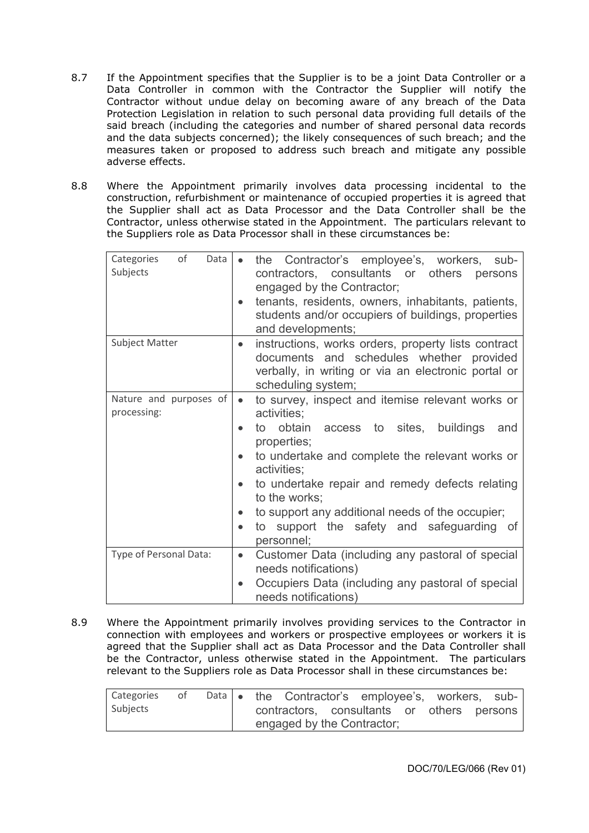- 8.7 If the Appointment specifies that the Supplier is to be a joint Data Controller or a Data Controller in common with the Contractor the Supplier will notify the Contractor without undue delay on becoming aware of any breach of the Data Protection Legislation in relation to such personal data providing full details of the said breach (including the categories and number of shared personal data records and the data subjects concerned); the likely consequences of such breach; and the measures taken or proposed to address such breach and mitigate any possible adverse effects.
- 8.8 Where the Appointment primarily involves data processing incidental to the construction, refurbishment or maintenance of occupied properties it is agreed that the Supplier shall act as Data Processor and the Data Controller shall be the Contractor, unless otherwise stated in the Appointment. The particulars relevant to the Suppliers role as Data Processor shall in these circumstances be:

| Categories<br>of<br>Data<br>Subjects  | the Contractor's employee's, workers,<br>sub-<br>$\bullet$<br>contractors, consultants or others<br>persons<br>engaged by the Contractor;<br>tenants, residents, owners, inhabitants, patients,<br>$\bullet$<br>students and/or occupiers of buildings, properties<br>and developments;                                                                                                                                                                             |
|---------------------------------------|---------------------------------------------------------------------------------------------------------------------------------------------------------------------------------------------------------------------------------------------------------------------------------------------------------------------------------------------------------------------------------------------------------------------------------------------------------------------|
| Subject Matter                        | instructions, works orders, property lists contract<br>$\bullet$<br>documents and schedules whether provided<br>verbally, in writing or via an electronic portal or<br>scheduling system;                                                                                                                                                                                                                                                                           |
| Nature and purposes of<br>processing: | to survey, inspect and itemise relevant works or<br>$\bullet$<br>activities;<br>to obtain<br>access to sites, buildings<br>and<br>$\bullet$<br>properties;<br>to undertake and complete the relevant works or<br>$\bullet$<br>activities;<br>to undertake repair and remedy defects relating<br>$\bullet$<br>to the works;<br>to support any additional needs of the occupier;<br>$\bullet$<br>to support the safety and safeguarding of<br>$\bullet$<br>personnel; |
| Type of Personal Data:                | Customer Data (including any pastoral of special<br>$\bullet$<br>needs notifications)<br>Occupiers Data (including any pastoral of special<br>$\bullet$<br>needs notifications)                                                                                                                                                                                                                                                                                     |

8.9 Where the Appointment primarily involves providing services to the Contractor in connection with employees and workers or prospective employees or workers it is agreed that the Supplier shall act as Data Processor and the Data Controller shall be the Contractor, unless otherwise stated in the Appointment. The particulars relevant to the Suppliers role as Data Processor shall in these circumstances be:

| Categories | $\sim$ of $\sim$ |  | Data • the Contractor's employee's, workers, sub- |  |  |  |
|------------|------------------|--|---------------------------------------------------|--|--|--|
| Subjects   |                  |  | contractors, consultants or others persons        |  |  |  |
|            |                  |  | engaged by the Contractor;                        |  |  |  |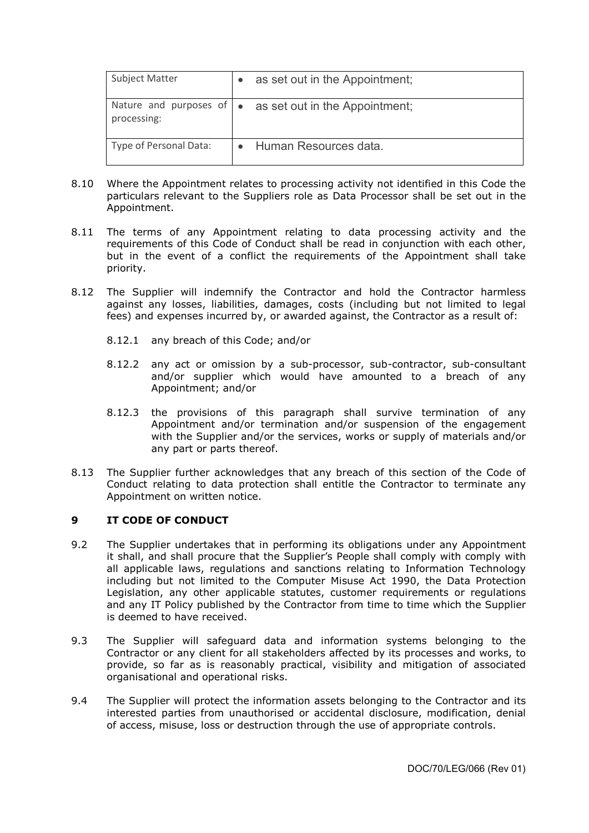| <b>Subject Matter</b>  | as set out in the Appointment;                                  |
|------------------------|-----------------------------------------------------------------|
| processing:            | Nature and purposes of $\bullet$ as set out in the Appointment; |
| Type of Personal Data: | Human Resources data.                                           |

- 8.10 Where the Appointment relates to processing activity not identified in this Code the particulars relevant to the Suppliers role as Data Processor shall be set out in the Appointment.
- 8.11 The terms of any Appointment relating to data processing activity and the requirements of this Code of Conduct shall be read in conjunction with each other, but in the event of a conflict the requirements of the Appointment shall take priority.
- 8.12 The Supplier will indemnify the Contractor and hold the Contractor harmless against any losses, liabilities, damages, costs (including but not limited to legal fees) and expenses incurred by, or awarded against, the Contractor as a result of:
	- 8.12.1 any breach of this Code; and/or
	- 8.12.2 any act or omission by a sub-processor, sub-contractor, sub-consultant and/or supplier which would have amounted to a breach of any Appointment; and/or
	- 8.12.3 the provisions of this paragraph shall survive termination of any Appointment and/or termination and/or suspension of the engagement with the Supplier and/or the services, works or supply of materials and/or any part or parts thereof.
- 8.13 The Supplier further acknowledges that any breach of this section of the Code of Conduct relating to data protection shall entitle the Contractor to terminate any Appointment on written notice.

# <span id="page-11-0"></span>**9 IT CODE OF CONDUCT**

- 9.2 The Supplier undertakes that in performing its obligations under any Appointment it shall, and shall procure that the Supplier's People shall comply with comply with all applicable laws, regulations and sanctions relating to Information Technology including but not limited to the Computer Misuse Act 1990, the Data Protection Legislation, any other applicable statutes, customer requirements or regulations and any IT Policy published by the Contractor from time to time which the Supplier is deemed to have received.
- 9.3 The Supplier will safeguard data and information systems belonging to the Contractor or any client for all stakeholders affected by its processes and works, to provide, so far as is reasonably practical, visibility and mitigation of associated organisational and operational risks.
- 9.4 The Supplier will protect the information assets belonging to the Contractor and its interested parties from unauthorised or accidental disclosure, modification, denial of access, misuse, loss or destruction through the use of appropriate controls.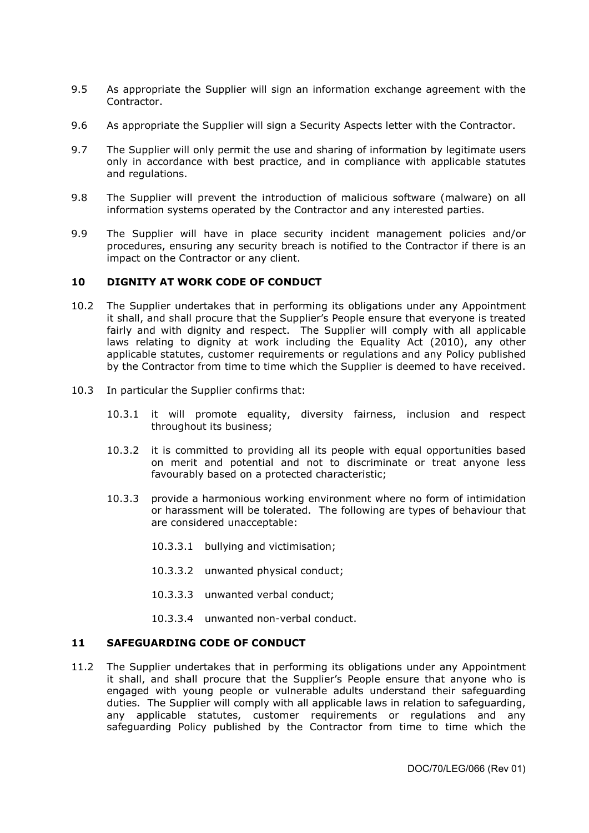- 9.5 As appropriate the Supplier will sign an information exchange agreement with the Contractor.
- 9.6 As appropriate the Supplier will sign a Security Aspects letter with the Contractor.
- 9.7 The Supplier will only permit the use and sharing of information by legitimate users only in accordance with best practice, and in compliance with applicable statutes and regulations.
- 9.8 The Supplier will prevent the introduction of malicious software (malware) on all information systems operated by the Contractor and any interested parties.
- 9.9 The Supplier will have in place security incident management policies and/or procedures, ensuring any security breach is notified to the Contractor if there is an impact on the Contractor or any client.

### <span id="page-12-0"></span>**10 DIGNITY AT WORK CODE OF CONDUCT**

- 10.2 The Supplier undertakes that in performing its obligations under any Appointment it shall, and shall procure that the Supplier's People ensure that everyone is treated fairly and with dignity and respect. The Supplier will comply with all applicable laws relating to dignity at work including the Equality Act (2010), any other applicable statutes, customer requirements or regulations and any Policy published by the Contractor from time to time which the Supplier is deemed to have received.
- 10.3 In particular the Supplier confirms that:
	- 10.3.1 it will promote equality, diversity fairness, inclusion and respect throughout its business;
	- 10.3.2 it is committed to providing all its people with equal opportunities based on merit and potential and not to discriminate or treat anyone less favourably based on a protected characteristic;
	- 10.3.3 provide a harmonious working environment where no form of intimidation or harassment will be tolerated. The following are types of behaviour that are considered unacceptable:
		- 10.3.3.1 bullying and victimisation;
		- 10.3.3.2 unwanted physical conduct;
		- 10.3.3.3 unwanted verbal conduct;
		- 10.3.3.4 unwanted non-verbal conduct.

### <span id="page-12-1"></span>**11 SAFEGUARDING CODE OF CONDUCT**

11.2 The Supplier undertakes that in performing its obligations under any Appointment it shall, and shall procure that the Supplier's People ensure that anyone who is engaged with young people or vulnerable adults understand their safeguarding duties. The Supplier will comply with all applicable laws in relation to safeguarding, any applicable statutes, customer requirements or regulations and any safeguarding Policy published by the Contractor from time to time which the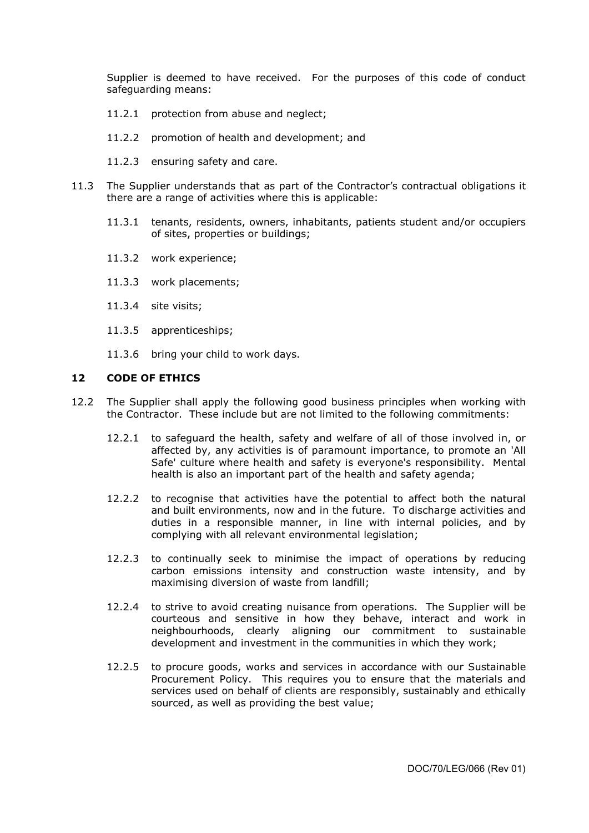Supplier is deemed to have received. For the purposes of this code of conduct safeguarding means:

- 11.2.1 protection from abuse and neglect;
- 11.2.2 promotion of health and development; and
- 11.2.3 ensuring safety and care.
- 11.3 The Supplier understands that as part of the Contractor's contractual obligations it there are a range of activities where this is applicable:
	- 11.3.1 tenants, residents, owners, inhabitants, patients student and/or occupiers of sites, properties or buildings;
	- 11.3.2 work experience;
	- 11.3.3 work placements;
	- 11.3.4 site visits;
	- 11.3.5 apprenticeships;
	- 11.3.6 bring your child to work days.

### <span id="page-13-0"></span>**12 CODE OF ETHICS**

- 12.2 The Supplier shall apply the following good business principles when working with the Contractor. These include but are not limited to the following commitments:
	- 12.2.1 to safeguard the health, safety and welfare of all of those involved in, or affected by, any activities is of paramount importance, to promote an 'All Safe' culture where health and safety is everyone's responsibility. Mental health is also an important part of the health and safety agenda;
	- 12.2.2 to recognise that activities have the potential to affect both the natural and built environments, now and in the future. To discharge activities and duties in a responsible manner, in line with internal policies, and by complying with all relevant environmental legislation;
	- 12.2.3 to continually seek to minimise the impact of operations by reducing carbon emissions intensity and construction waste intensity, and by maximising diversion of waste from landfill;
	- 12.2.4 to strive to avoid creating nuisance from operations. The Supplier will be courteous and sensitive in how they behave, interact and work in neighbourhoods, clearly aligning our commitment to sustainable development and investment in the communities in which they work;
	- 12.2.5 to procure goods, works and services in accordance with our Sustainable Procurement Policy. This requires you to ensure that the materials and services used on behalf of clients are responsibly, sustainably and ethically sourced, as well as providing the best value;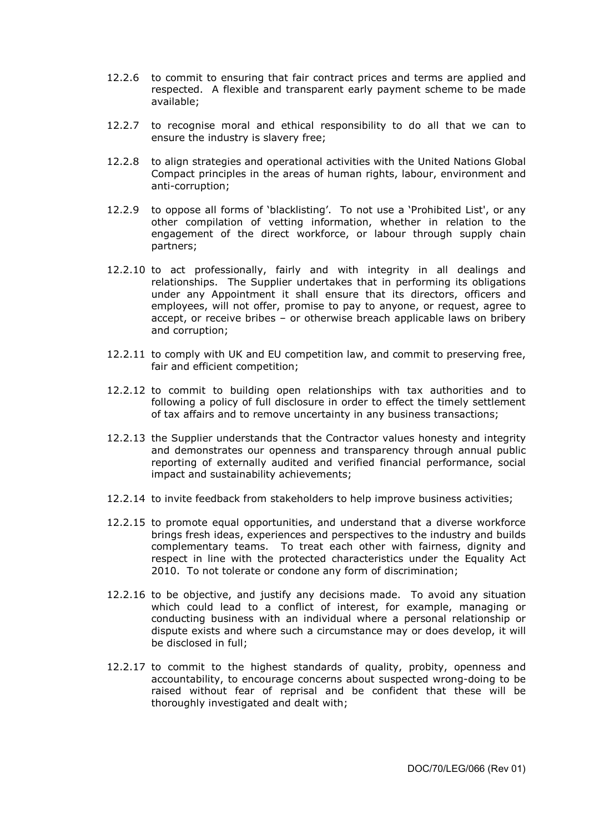- 12.2.6 to commit to ensuring that fair contract prices and terms are applied and respected. A flexible and transparent early payment scheme to be made available;
- 12.2.7 to recognise moral and ethical responsibility to do all that we can to ensure the industry is slavery free;
- 12.2.8 to align strategies and operational activities with the United Nations Global Compact principles in the areas of human rights, labour, environment and anti-corruption;
- 12.2.9 to oppose all forms of 'blacklisting'. To not use a 'Prohibited List', or any other compilation of vetting information, whether in relation to the engagement of the direct workforce, or labour through supply chain partners;
- 12.2.10 to act professionally, fairly and with integrity in all dealings and relationships. The Supplier undertakes that in performing its obligations under any Appointment it shall ensure that its directors, officers and employees, will not offer, promise to pay to anyone, or request, agree to accept, or receive bribes – or otherwise breach applicable laws on bribery and corruption;
- 12.2.11 to comply with UK and EU competition law, and commit to preserving free, fair and efficient competition;
- 12.2.12 to commit to building open relationships with tax authorities and to following a policy of full disclosure in order to effect the timely settlement of tax affairs and to remove uncertainty in any business transactions;
- 12.2.13 the Supplier understands that the Contractor values honesty and integrity and demonstrates our openness and transparency through annual public reporting of externally audited and verified financial performance, social impact and sustainability achievements;
- 12.2.14 to invite feedback from stakeholders to help improve business activities;
- 12.2.15 to promote equal opportunities, and understand that a diverse workforce brings fresh ideas, experiences and perspectives to the industry and builds complementary teams. To treat each other with fairness, dignity and respect in line with the protected characteristics under the Equality Act 2010. To not tolerate or condone any form of discrimination;
- 12.2.16 to be objective, and justify any decisions made. To avoid any situation which could lead to a conflict of interest, for example, managing or conducting business with an individual where a personal relationship or dispute exists and where such a circumstance may or does develop, it will be disclosed in full;
- 12.2.17 to commit to the highest standards of quality, probity, openness and accountability, to encourage concerns about suspected wrong-doing to be raised without fear of reprisal and be confident that these will be thoroughly investigated and dealt with;